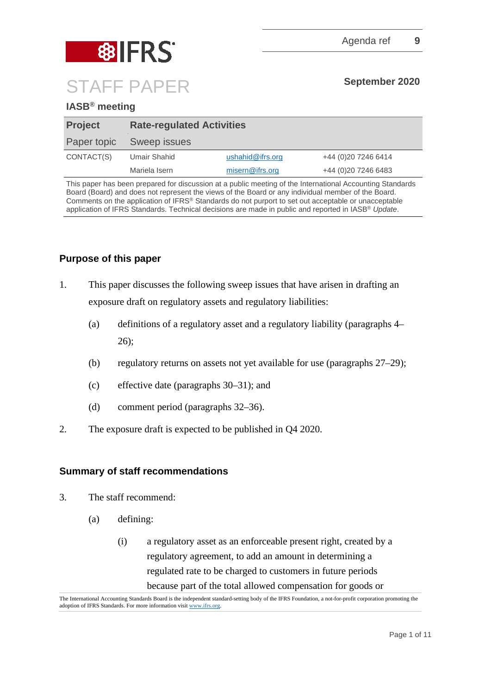



# **IASB® meeting**

| <b>Project</b> | <b>Rate-regulated Activities</b> |                  |                      |  |  |
|----------------|----------------------------------|------------------|----------------------|--|--|
| Paper topic    | Sweep issues                     |                  |                      |  |  |
| CONTACT(S)     | Umair Shahid                     | ushahid@ifrs.org | +44 (0)20 7246 6414  |  |  |
|                | Mariela Isern                    | misern@ifrs.org  | +44 (0) 20 7246 6483 |  |  |

This paper has been prepared for discussion at a public meeting of the International Accounting Standards Board (Board) and does not represent the views of the Board or any individual member of the Board. Comments on the application of IFRS® Standards do not purport to set out acceptable or unacceptable application of IFRS Standards. Technical decisions are made in public and reported in IASB® *Update*.

# **Purpose of this paper**

- 1. This paper discusses the following sweep issues that have arisen in drafting an exposure draft on regulatory assets and regulatory liabilities:
	- (a) definitions of a regulatory asset and a regulatory liability (paragraphs [4–](#page-1-0) [26\)](#page-7-0);
	- (b) regulatory returns on assets not yet available for use (paragraphs [27–](#page-8-0)[29\)](#page-8-1);
	- (c) effective date (paragraphs [30–](#page-9-0)[31\)](#page-9-1); and
	- (d) comment period (paragraphs [32–](#page-9-2)[36\)](#page-10-0).
- 2. The exposure draft is expected to be published in Q4 2020.

## **Summary of staff recommendations**

- 3. The staff recommend:
	- (a) defining:
		- (i) a regulatory asset as an enforceable present right, created by a regulatory agreement, to add an amount in determining a regulated rate to be charged to customers in future periods because part of the total allowed compensation for goods or

The International Accounting Standards Board is the independent standard-setting body of the IFRS Foundation, a not-for-profit corporation promoting the adoption of IFRS Standards. For more information visit [www.ifrs.org.](http://www.ifrs.org/)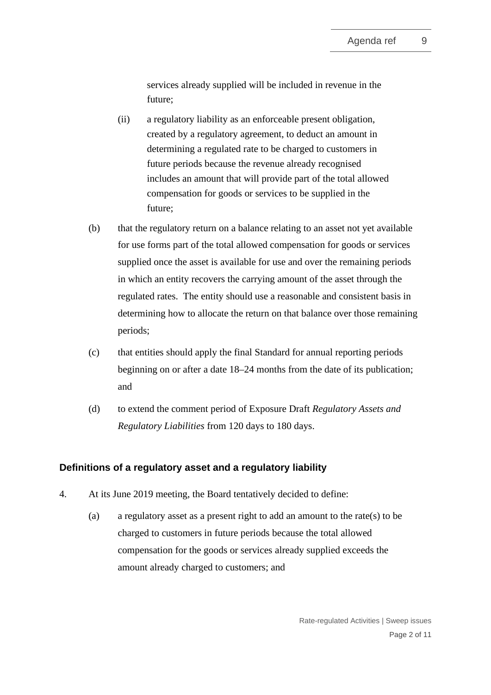services already supplied will be included in revenue in the future;

- (ii) a regulatory liability as an enforceable present obligation, created by a regulatory agreement, to deduct an amount in determining a regulated rate to be charged to customers in future periods because the revenue already recognised includes an amount that will provide part of the total allowed compensation for goods or services to be supplied in the future;
- (b) that the regulatory return on a balance relating to an asset not yet available for use forms part of the total allowed compensation for goods or services supplied once the asset is available for use and over the remaining periods in which an entity recovers the carrying amount of the asset through the regulated rates. The entity should use a reasonable and consistent basis in determining how to allocate the return on that balance over those remaining periods;
- (c) that entities should apply the final Standard for annual reporting periods beginning on or after a date 18–24 months from the date of its publication; and
- (d) to extend the comment period of Exposure Draft *Regulatory Assets and Regulatory Liabilities* from 120 days to 180 days.

## **Definitions of a regulatory asset and a regulatory liability**

- <span id="page-1-0"></span>4. At its June 2019 meeting, the Board tentatively decided to define:
	- (a) a regulatory asset as a present right to add an amount to the rate(s) to be charged to customers in future periods because the total allowed compensation for the goods or services already supplied exceeds the amount already charged to customers; and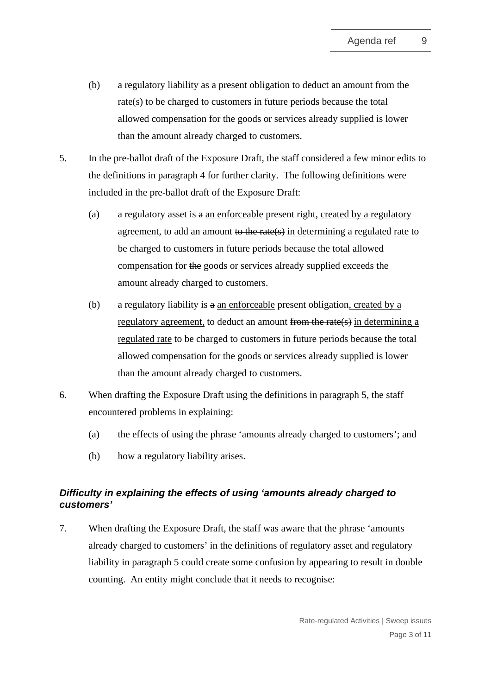- (b) a regulatory liability as a present obligation to deduct an amount from the rate(s) to be charged to customers in future periods because the total allowed compensation for the goods or services already supplied is lower than the amount already charged to customers.
- <span id="page-2-0"></span>5. In the pre-ballot draft of the Exposure Draft, the staff considered a few minor edits to the definitions in paragraph [4](#page-1-0) for further clarity. The following definitions were included in the pre-ballot draft of the Exposure Draft:
	- (a) a regulatory asset is  $\theta$  an enforceable present right, created by a regulatory agreement, to add an amount to the rate(s) in determining a regulated rate to be charged to customers in future periods because the total allowed compensation for the goods or services already supplied exceeds the amount already charged to customers.
	- (b) a regulatory liability is a an enforceable present obligation, created by a regulatory agreement, to deduct an amount from the rate(s) in determining a regulated rate to be charged to customers in future periods because the total allowed compensation for the goods or services already supplied is lower than the amount already charged to customers.
- 6. When drafting the Exposure Draft using the definitions in paragraph [5,](#page-2-0) the staff encountered problems in explaining:
	- (a) the effects of using the phrase 'amounts already charged to customers'; and
	- (b) how a regulatory liability arises.

# *Difficulty in explaining the effects of using 'amounts already charged to customers'*

7. When drafting the Exposure Draft, the staff was aware that the phrase 'amounts already charged to customers' in the definitions of regulatory asset and regulatory liability in paragraph [5](#page-2-0) could create some confusion by appearing to result in double counting. An entity might conclude that it needs to recognise: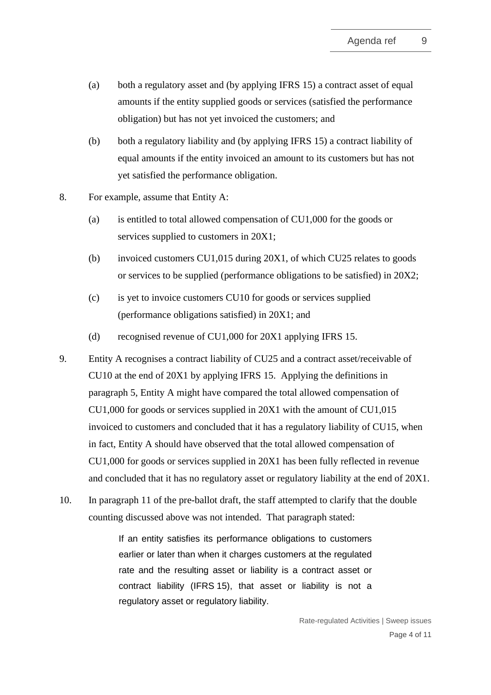- (a) both a regulatory asset and (by applying IFRS 15) a contract asset of equal amounts if the entity supplied goods or services (satisfied the performance obligation) but has not yet invoiced the customers; and
- (b) both a regulatory liability and (by applying IFRS 15) a contract liability of equal amounts if the entity invoiced an amount to its customers but has not yet satisfied the performance obligation.
- 8. For example, assume that Entity A:
	- (a) is entitled to total allowed compensation of CU1,000 for the goods or services supplied to customers in 20X1;
	- (b) invoiced customers CU1,015 during 20X1, of which CU25 relates to goods or services to be supplied (performance obligations to be satisfied) in 20X2;
	- (c) is yet to invoice customers CU10 for goods or services supplied (performance obligations satisfied) in 20X1; and
	- (d) recognised revenue of CU1,000 for 20X1 applying IFRS 15.
- 9. Entity A recognises a contract liability of CU25 and a contract asset/receivable of CU10 at the end of 20X1 by applying IFRS 15. Applying the definitions in paragraph [5,](#page-2-0) Entity A might have compared the total allowed compensation of CU1,000 for goods or services supplied in 20X1 with the amount of CU1,015 invoiced to customers and concluded that it has a regulatory liability of CU15, when in fact, Entity A should have observed that the total allowed compensation of CU1,000 for goods or services supplied in 20X1 has been fully reflected in revenue and concluded that it has no regulatory asset or regulatory liability at the end of 20X1.
- 10. In paragraph 11 of the pre-ballot draft, the staff attempted to clarify that the double counting discussed above was not intended. That paragraph stated:

If an entity satisfies its performance obligations to customers earlier or later than when it charges customers at the regulated rate and the resulting asset or liability is a contract asset or contract liability (IFRS 15), that asset or liability is not a regulatory asset or regulatory liability.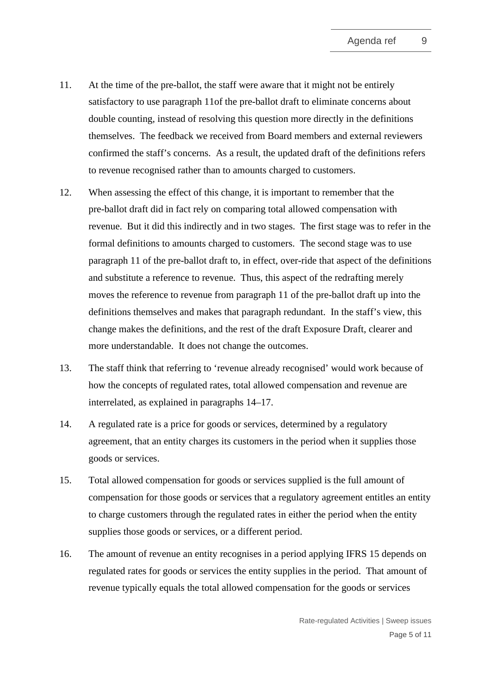- 11. At the time of the pre-ballot, the staff were aware that it might not be entirely satisfactory to use paragraph 11of the pre-ballot draft to eliminate concerns about double counting, instead of resolving this question more directly in the definitions themselves. The feedback we received from Board members and external reviewers confirmed the staff's concerns. As a result, the updated draft of the definitions refers to revenue recognised rather than to amounts charged to customers.
- 12. When assessing the effect of this change, it is important to remember that the pre-ballot draft did in fact rely on comparing total allowed compensation with revenue. But it did this indirectly and in two stages. The first stage was to refer in the formal definitions to amounts charged to customers. The second stage was to use paragraph 11 of the pre-ballot draft to, in effect, over-ride that aspect of the definitions and substitute a reference to revenue. Thus, this aspect of the redrafting merely moves the reference to revenue from paragraph 11 of the pre-ballot draft up into the definitions themselves and makes that paragraph redundant. In the staff's view, this change makes the definitions, and the rest of the draft Exposure Draft, clearer and more understandable. It does not change the outcomes.
- 13. The staff think that referring to 'revenue already recognised' would work because of how the concepts of regulated rates, total allowed compensation and revenue are interrelated, as explained in paragraphs [14](#page-4-0)[–17.](#page-5-0)
- <span id="page-4-0"></span>14. A regulated rate is a price for goods or services, determined by a regulatory agreement, that an entity charges its customers in the period when it supplies those goods or services.
- 15. Total allowed compensation for goods or services supplied is the full amount of compensation for those goods or services that a regulatory agreement entitles an entity to charge customers through the regulated rates in either the period when the entity supplies those goods or services, or a different period.
- 16. The amount of revenue an entity recognises in a period applying IFRS 15 depends on regulated rates for goods or services the entity supplies in the period. That amount of revenue typically equals the total allowed compensation for the goods or services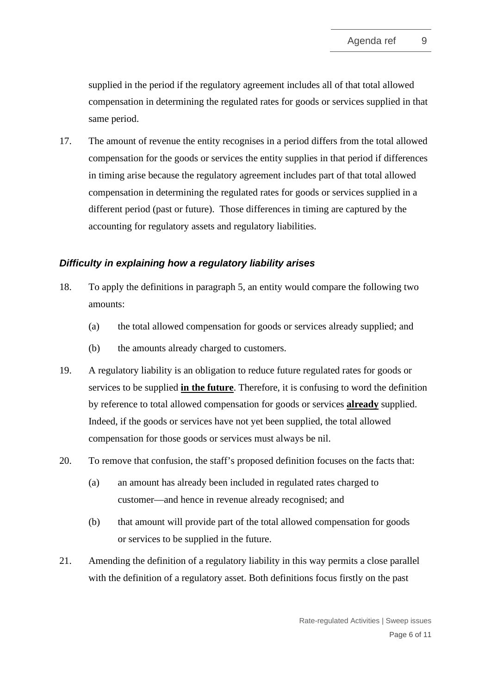supplied in the period if the regulatory agreement includes all of that total allowed compensation in determining the regulated rates for goods or services supplied in that same period.

<span id="page-5-0"></span>17. The amount of revenue the entity recognises in a period differs from the total allowed compensation for the goods or services the entity supplies in that period if differences in timing arise because the regulatory agreement includes part of that total allowed compensation in determining the regulated rates for goods or services supplied in a different period (past or future). Those differences in timing are captured by the accounting for regulatory assets and regulatory liabilities.

## *Difficulty in explaining how a regulatory liability arises*

- 18. To apply the definitions in paragraph [5,](#page-2-0) an entity would compare the following two amounts:
	- (a) the total allowed compensation for goods or services already supplied; and
	- (b) the amounts already charged to customers.
- 19. A regulatory liability is an obligation to reduce future regulated rates for goods or services to be supplied **in the future**. Therefore, it is confusing to word the definition by reference to total allowed compensation for goods or services **already** supplied. Indeed, if the goods or services have not yet been supplied, the total allowed compensation for those goods or services must always be nil.
- 20. To remove that confusion, the staff's proposed definition focuses on the facts that:
	- (a) an amount has already been included in regulated rates charged to customer—and hence in revenue already recognised; and
	- (b) that amount will provide part of the total allowed compensation for goods or services to be supplied in the future.
- 21. Amending the definition of a regulatory liability in this way permits a close parallel with the definition of a regulatory asset. Both definitions focus firstly on the past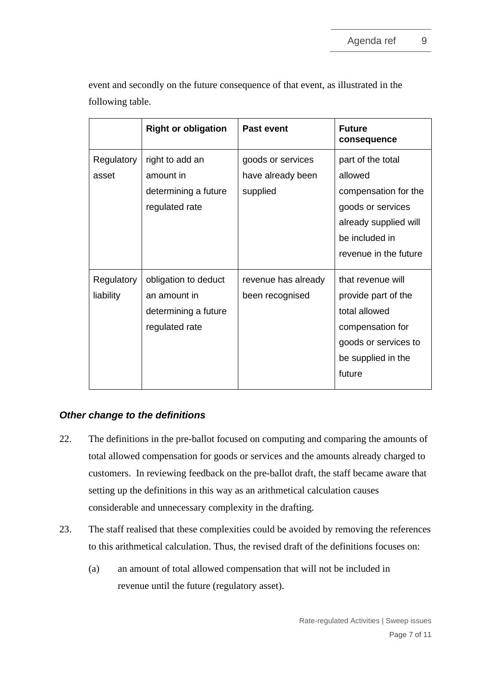| event and secondly on the future consequence of that event, as illustrated in the |  |
|-----------------------------------------------------------------------------------|--|
| following table.                                                                  |  |

|                         | <b>Right or obligation</b>                                                     | <b>Past event</b>                                  | <b>Future</b><br>consequence                                                                                                                  |
|-------------------------|--------------------------------------------------------------------------------|----------------------------------------------------|-----------------------------------------------------------------------------------------------------------------------------------------------|
| Regulatory<br>asset     | right to add an<br>amount in<br>determining a future<br>regulated rate         | goods or services<br>have already been<br>supplied | part of the total<br>allowed<br>compensation for the<br>goods or services<br>already supplied will<br>be included in<br>revenue in the future |
| Regulatory<br>liability | obligation to deduct<br>an amount in<br>determining a future<br>regulated rate | revenue has already<br>been recognised             | that revenue will<br>provide part of the<br>total allowed<br>compensation for<br>goods or services to<br>be supplied in the<br>future         |

## *Other change to the definitions*

- 22. The definitions in the pre-ballot focused on computing and comparing the amounts of total allowed compensation for goods or services and the amounts already charged to customers. In reviewing feedback on the pre-ballot draft, the staff became aware that setting up the definitions in this way as an arithmetical calculation causes considerable and unnecessary complexity in the drafting.
- 23. The staff realised that these complexities could be avoided by removing the references to this arithmetical calculation. Thus, the revised draft of the definitions focuses on:
	- (a) an amount of total allowed compensation that will not be included in revenue until the future (regulatory asset).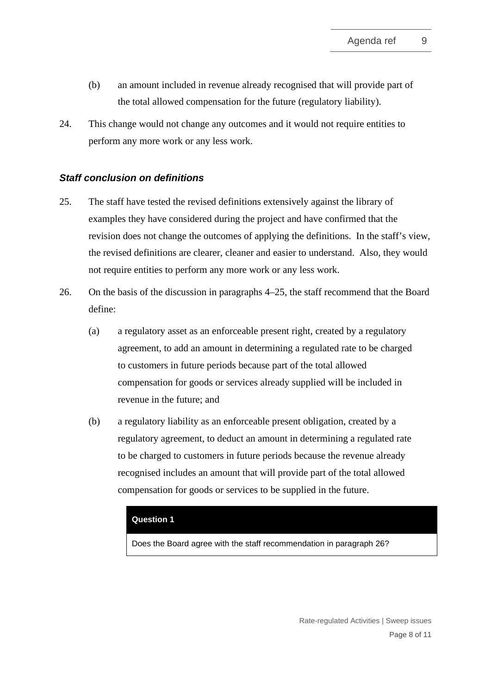- (b) an amount included in revenue already recognised that will provide part of the total allowed compensation for the future (regulatory liability).
- 24. This change would not change any outcomes and it would not require entities to perform any more work or any less work.

## *Staff conclusion on definitions*

- <span id="page-7-1"></span>25. The staff have tested the revised definitions extensively against the library of examples they have considered during the project and have confirmed that the revision does not change the outcomes of applying the definitions. In the staff's view, the revised definitions are clearer, cleaner and easier to understand. Also, they would not require entities to perform any more work or any less work.
- <span id="page-7-0"></span>26. On the basis of the discussion in paragraphs [4–](#page-1-0)[25,](#page-7-1) the staff recommend that the Board define:
	- (a) a regulatory asset as an enforceable present right, created by a regulatory agreement, to add an amount in determining a regulated rate to be charged to customers in future periods because part of the total allowed compensation for goods or services already supplied will be included in revenue in the future; and
	- (b) a regulatory liability as an enforceable present obligation, created by a regulatory agreement, to deduct an amount in determining a regulated rate to be charged to customers in future periods because the revenue already recognised includes an amount that will provide part of the total allowed compensation for goods or services to be supplied in the future.

### **Question 1**

Does the Board agree with the staff recommendation in paragraph [26?](#page-7-0)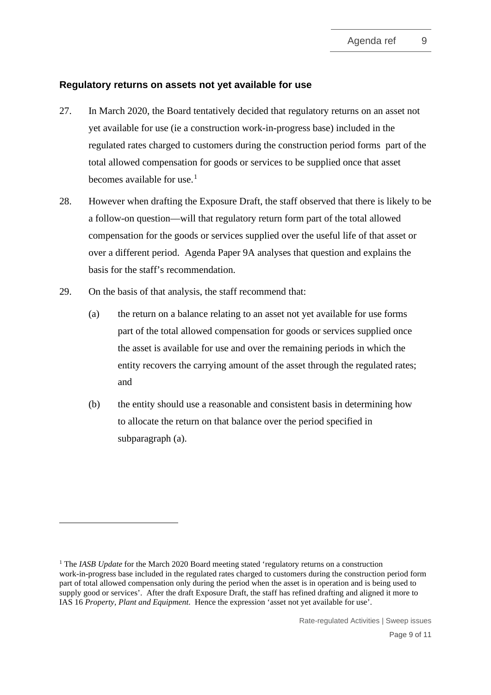## **Regulatory returns on assets not yet available for use**

- <span id="page-8-0"></span>27. In March 2020, the Board tentatively decided that regulatory returns on an asset not yet available for use (ie a construction work-in-progress base) included in the regulated rates charged to customers during the construction period forms part of the total allowed compensation for goods or services to be supplied once that asset becomes available for use.<sup>[1](#page-8-3)</sup>
- 28. However when drafting the Exposure Draft, the staff observed that there is likely to be a follow-on question—will that regulatory return form part of the total allowed compensation for the goods or services supplied over the useful life of that asset or over a different period. Agenda Paper 9A analyses that question and explains the basis for the staff's recommendation.
- <span id="page-8-2"></span><span id="page-8-1"></span>29. On the basis of that analysis, the staff recommend that:
	- (a) the return on a balance relating to an asset not yet available for use forms part of the total allowed compensation for goods or services supplied once the asset is available for use and over the remaining periods in which the entity recovers the carrying amount of the asset through the regulated rates; and
	- (b) the entity should use a reasonable and consistent basis in determining how to allocate the return on that balance over the period specified in subparagraph [\(a\).](#page-8-2)

<span id="page-8-3"></span><sup>&</sup>lt;sup>1</sup> The *IASB Update* for the March 2020 Board meeting stated 'regulatory returns on a construction work-in-progress base included in the regulated rates charged to customers during the construction period form part of total allowed compensation only during the period when the asset is in operation and is being used to supply good or services'. After the draft Exposure Draft, the staff has refined drafting and aligned it more to IAS 16 *Property, Plant and Equipment*. Hence the expression 'asset not yet available for use'.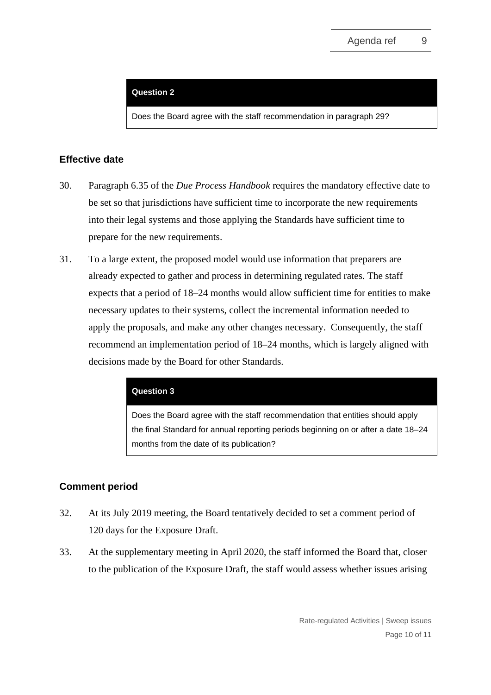#### **Question 2**

Does the Board agree with the staff recommendation in paragraph [29?](#page-8-1)

### **Effective date**

- <span id="page-9-0"></span>30. Paragraph 6.35 of the *Due Process Handbook* requires the mandatory effective date to be set so that jurisdictions have sufficient time to incorporate the new requirements into their legal systems and those applying the Standards have sufficient time to prepare for the new requirements.
- <span id="page-9-1"></span>31. To a large extent, the proposed model would use information that preparers are already expected to gather and process in determining regulated rates. The staff expects that a period of 18–24 months would allow sufficient time for entities to make necessary updates to their systems, collect the incremental information needed to apply the proposals, and make any other changes necessary. Consequently, the staff recommend an implementation period of 18–24 months, which is largely aligned with decisions made by the Board for other Standards.

#### **Question 3**

Does the Board agree with the staff recommendation that entities should apply the final Standard for annual reporting periods beginning on or after a date 18–24 months from the date of its publication?

## **Comment period**

- <span id="page-9-2"></span>32. At its July 2019 meeting, the Board tentatively decided to set a comment period of 120 days for the Exposure Draft.
- 33. At the supplementary meeting in April 2020, the staff informed the Board that, closer to the publication of the Exposure Draft, the staff would assess whether issues arising